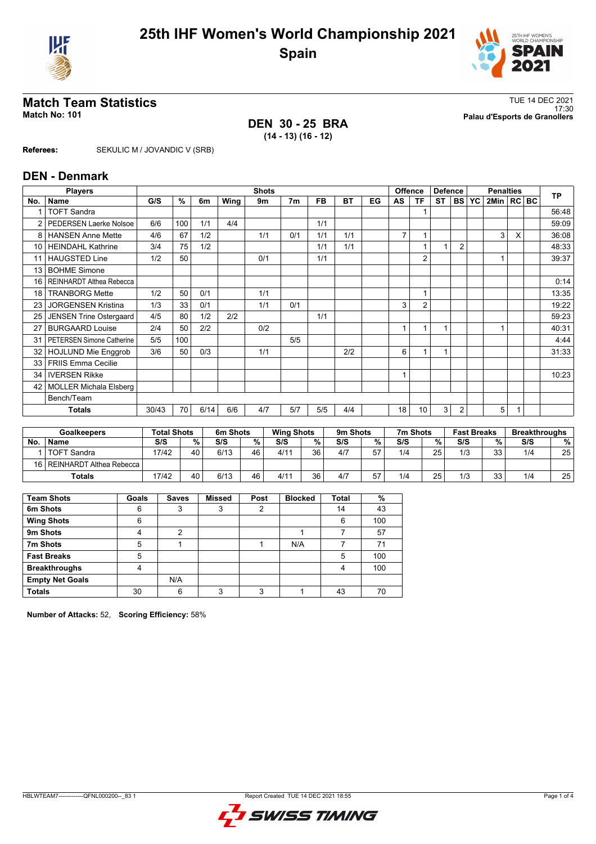



**DEN 30 - 25 BRA (14 - 13) (16 - 12)**

**Match Team Statistics**<br>Match No: 101<br>Palau d'Esports de Granollers 17:30 **Match No: 101 Palau d'Esports de Granollers**

## **Referees:** SEKULIC M / JOVANDIC V (SRB)

|                 | <b>DEN - Denmark</b>             |       |     |      |      |              |                |           |           |    |                |                 |                |                |                  |              |   |  |           |
|-----------------|----------------------------------|-------|-----|------|------|--------------|----------------|-----------|-----------|----|----------------|-----------------|----------------|----------------|------------------|--------------|---|--|-----------|
|                 | <b>Players</b>                   |       |     |      |      | <b>Shots</b> |                |           |           |    |                | Offence         | <b>Defence</b> |                | <b>Penalties</b> |              |   |  | <b>TP</b> |
| No.             | Name                             | G/S   | %   | 6m   | Wing | 9m           | 7 <sub>m</sub> | <b>FB</b> | <b>BT</b> | EG | AS             | ΤF              | <b>ST</b>      | <b>BS</b>      | <b>YC</b>        | 2Min   RC BC |   |  |           |
|                 | <b>TOFT Sandra</b>               |       |     |      |      |              |                |           |           |    |                |                 |                |                |                  |              |   |  | 56:48     |
| 2               | PEDERSEN Laerke Nolsoe           | 6/6   | 100 | 1/1  | 4/4  |              |                | 1/1       |           |    |                |                 |                |                |                  |              |   |  | 59:09     |
| 8               | <b>HANSEN Anne Mette</b>         | 4/6   | 67  | 1/2  |      | 1/1          | 0/1            | 1/1       | 1/1       |    | $\overline{7}$ |                 |                |                |                  | 3            | X |  | 36:08     |
| 10 <sup>1</sup> | HEINDAHL Kathrine                | 3/4   | 75  | 1/2  |      |              |                | 1/1       | 1/1       |    |                |                 | 1              | $\overline{2}$ |                  |              |   |  | 48:33     |
| 11              | <b>HAUGSTED Line</b>             | 1/2   | 50  |      |      | 0/1          |                | 1/1       |           |    |                | $\overline{2}$  |                |                |                  |              |   |  | 39:37     |
| 13              | <b>BOHME Simone</b>              |       |     |      |      |              |                |           |           |    |                |                 |                |                |                  |              |   |  |           |
| 16              | REINHARDT Althea Rebecca         |       |     |      |      |              |                |           |           |    |                |                 |                |                |                  |              |   |  | 0:14      |
| 18              | <b>TRANBORG Mette</b>            | 1/2   | 50  | 0/1  |      | 1/1          |                |           |           |    |                | 1               |                |                |                  |              |   |  | 13:35     |
| 23              | <b>JORGENSEN Kristina</b>        | 1/3   | 33  | 0/1  |      | 1/1          | 0/1            |           |           |    | 3              | $\overline{2}$  |                |                |                  |              |   |  | 19:22     |
| 25              | <b>JENSEN Trine Ostergaard</b>   | 4/5   | 80  | 1/2  | 2/2  |              |                | 1/1       |           |    |                |                 |                |                |                  |              |   |  | 59:23     |
| 27              | <b>BURGAARD Louise</b>           | 2/4   | 50  | 2/2  |      | 0/2          |                |           |           |    |                |                 | $\overline{ }$ |                |                  |              |   |  | 40:31     |
| 31              | <b>PETERSEN Simone Catherine</b> | 5/5   | 100 |      |      |              | 5/5            |           |           |    |                |                 |                |                |                  |              |   |  | 4:44      |
| 32              | <b>HOJLUND Mie Enggrob</b>       | 3/6   | 50  | 0/3  |      | 1/1          |                |           | 2/2       |    | 6              |                 | 1              |                |                  |              |   |  | 31:33     |
| 33 <sup>1</sup> | <b>FRIIS Emma Cecilie</b>        |       |     |      |      |              |                |           |           |    |                |                 |                |                |                  |              |   |  |           |
| 34              | <b>IVERSEN Rikke</b>             |       |     |      |      |              |                |           |           |    |                |                 |                |                |                  |              |   |  | 10:23     |
| 42              | <b>MOLLER Michala Elsberg</b>    |       |     |      |      |              |                |           |           |    |                |                 |                |                |                  |              |   |  |           |
|                 | Bench/Team                       |       |     |      |      |              |                |           |           |    |                |                 |                |                |                  |              |   |  |           |
|                 | <b>Totals</b>                    | 30/43 | 70  | 6/14 | 6/6  | 4/7          | 5/7            | 5/5       | 4/4       |    | 18             | 10 <sup>1</sup> | 3              | $\overline{2}$ |                  | 5            |   |  |           |

| <b>Goalkeepers</b> |                               | <b>Total Shots</b> |    | 6m Shots |    | <b>Wing Shots</b> |    | 9m Shots |    | 7m Shots |    | <b>Fast Breaks</b> |          | <b>Breakthroughs</b> |    |
|--------------------|-------------------------------|--------------------|----|----------|----|-------------------|----|----------|----|----------|----|--------------------|----------|----------------------|----|
| No.                | <b>Name</b>                   | S/S                | %. | S/S      | %  | S/S               | %  | S/S      | %  | S/S      | %  | S/S                | %        | S/S                  | %  |
|                    | <b>TOFT Sandra</b>            | 17/42              | 40 | 6/13     | 46 | 4/11              | 36 | 4/7      | 57 | 1/4      | 25 | 1/3                | วว<br>ບບ | 1/4                  | 25 |
|                    | 16   REINHARDT Althea Rebecca |                    |    |          |    |                   |    |          |    |          |    |                    |          |                      |    |
|                    | Totals                        | 17/42              | 40 | 6/13     | 46 | 4/11              | 36 | 4/7      | 57 | 1/4      | 25 | 1/3                | วว<br>ບບ | 1/4                  | 25 |

| <b>Team Shots</b>      | Goals | <b>Saves</b> | <b>Missed</b> | Post | <b>Blocked</b> | <b>Total</b> | %   |
|------------------------|-------|--------------|---------------|------|----------------|--------------|-----|
| 6m Shots               | 6     | 3            | 3             | 2    |                | 14           | 43  |
| <b>Wing Shots</b>      | 6     |              |               |      |                | 6            | 100 |
| 9m Shots               | 4     | 2            |               |      |                |              | 57  |
| 7m Shots               | 5     |              |               |      | N/A            |              | 71  |
| <b>Fast Breaks</b>     | 5     |              |               |      |                | 5            | 100 |
| <b>Breakthroughs</b>   | 4     |              |               |      |                | 4            | 100 |
| <b>Empty Net Goals</b> |       | N/A          |               |      |                |              |     |
| <b>Totals</b>          | 30    | 6            | っ             | ົ    |                | 43           | 70  |

**Number of Attacks:** 52, **Scoring Efficiency:** 58%

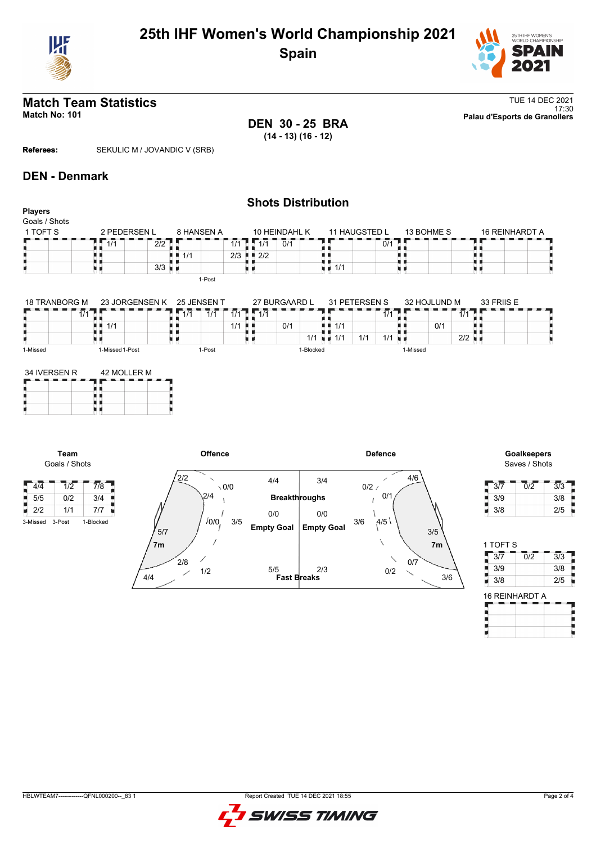



## **Match Team Statistics** TUE 14 DEC 2021 17:30 **Match No: 101 Palau d'Esports de Granollers**

**DEN 30 - 25 BRA (14 - 13) (16 - 12)**

**Referees:** SEKULIC M / JOVANDIC V (SRB)

## **DEN - Denmark**

### **Shots Distribution Players** Goals / Shots 11 HAUGSTED L<br>TITHERES THERES  $1$  TOFT S  $2 - 2$  PEDERSEN L 8 HANSEN A 10 HEINDAHL K 13 BOHME S 16 REINHARDT A  $\frac{1}{0/1}$  $7.77$  $\frac{2}{2}$ × 1<br>1<br>1<br>1 1/1<br>1 1/1 1/1 1/1 0/1 89  $2/3$   $2/2$ U H, j.  $3/3$   $\frac{1}{2}$ u p χú ù. u d 1-Post

| <b>18 TRANBORG M</b> | 23 JORGENSEN K  | 25 JENSEN T           |            | 27 BURGAARD L | 31 PETERSEN S |            | 32 HOJLUND M | 33 FRIIS E |  |
|----------------------|-----------------|-----------------------|------------|---------------|---------------|------------|--------------|------------|--|
|                      |                 | $\overline{4}$<br>1/1 | 111<br>1/1 |               |               | 414        |              |            |  |
|                      | 1/1             |                       | 1/1        | 0/1           | 1/1           |            | 0/1          |            |  |
|                      |                 |                       |            | 1/1           | . .           | 1/1<br>1/1 | 2/2          |            |  |
| 1-Missed             | 1-Missed 1-Post | 1-Post                |            | i-Blocked     |               | 1-Missed   |              |            |  |

| 34 IVERSEN R | 42 MOLLER M |  |  |  |  |  |  |  |
|--------------|-------------|--|--|--|--|--|--|--|
|              |             |  |  |  |  |  |  |  |
|              |             |  |  |  |  |  |  |  |

**Team** Goals / Shots

 $\frac{1}{4}$  4/4 1 1/2  $\frac{1}{2}$  7/8  $\begin{array}{|c|c|c|c|c|}\n\hline\n3/5 & 0/2 & 3/4 \\
\hline\n2/2 & 1/1 & 7/7\n\end{array}$ 2/2 1/1 7/7



## Saves / Shots

| 3/7 | 0/2 | 3/3 |
|-----|-----|-----|
| 3/9 |     | 3/8 |
| 3/8 |     | 2/5 |

| 1 TOFT S |     |     |
|----------|-----|-----|
| 3/7      | 012 | 3/3 |
| 3/9      |     | 3/8 |
| 3/8      |     | 2/5 |
|          |     |     |

I

| <b>16 REINHARDT A</b> |  |  |  |  |  |  |  |  |  |
|-----------------------|--|--|--|--|--|--|--|--|--|
|                       |  |  |  |  |  |  |  |  |  |
|                       |  |  |  |  |  |  |  |  |  |
|                       |  |  |  |  |  |  |  |  |  |

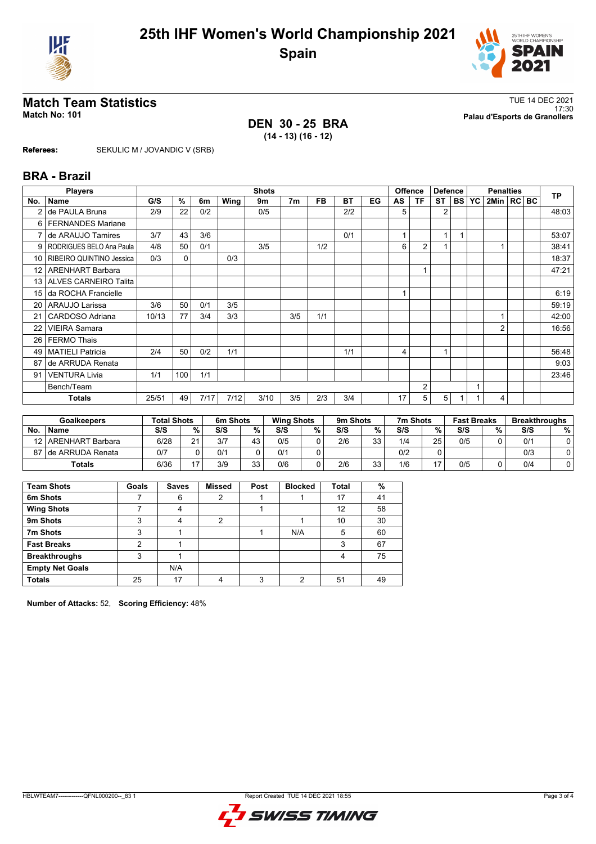



17:30 **Match No: 101 Palau d'Esports de Granollers**

# TUE 14 DEC 2021<br>Match No: 101<br>Palau d'Esports de Granollers

**DEN 30 - 25 BRA (14 - 13) (16 - 12)**

**Referees:** SEKULIC M / JOVANDIC V (SRB)

### **BRA - Brazil**

|                 | <b>Players</b><br><b>Shots</b> |       |     |      |      |      |                |           | <b>Offence</b> | <b>Defence</b> |    | <b>Penalties</b> |                |        |           | <b>TP</b>      |  |  |       |
|-----------------|--------------------------------|-------|-----|------|------|------|----------------|-----------|----------------|----------------|----|------------------|----------------|--------|-----------|----------------|--|--|-------|
| No.             | <b>Name</b>                    | G/S   | %   | 6m   | Wing | 9m   | 7 <sub>m</sub> | <b>FB</b> | <b>BT</b>      | EG             | AS | <b>TF</b>        | <b>ST</b>      | I BS I | <b>YC</b> | 2Min   RC BC   |  |  |       |
|                 | de PAULA Bruna                 | 2/9   | 22  | 0/2  |      | 0/5  |                |           | 2/2            |                | 5  |                  | $\overline{2}$ |        |           |                |  |  | 48:03 |
| 6               | <b>FERNANDES Mariane</b>       |       |     |      |      |      |                |           |                |                |    |                  |                |        |           |                |  |  |       |
|                 | de ARAUJO Tamires              | 3/7   | 43  | 3/6  |      |      |                |           | 0/1            |                |    |                  | 1              |        |           |                |  |  | 53:07 |
| 9               | RODRIGUES BELO Ana Paula       | 4/8   | 50  | 0/1  |      | 3/5  |                | 1/2       |                |                | 6  | $\overline{2}$   |                |        |           |                |  |  | 38:41 |
| 10 <sup>1</sup> | RIBEIRO QUINTINO Jessica       | 0/3   | 0   |      | 0/3  |      |                |           |                |                |    |                  |                |        |           |                |  |  | 18:37 |
| 12 <sup>2</sup> | <b>ARENHART Barbara</b>        |       |     |      |      |      |                |           |                |                |    | 1                |                |        |           |                |  |  | 47:21 |
| 13 <sup>1</sup> | <b>ALVES CARNEIRO Talita</b>   |       |     |      |      |      |                |           |                |                |    |                  |                |        |           |                |  |  |       |
| 15              | da ROCHA Francielle            |       |     |      |      |      |                |           |                |                |    |                  |                |        |           |                |  |  | 6:19  |
| 20 <sub>1</sub> | <b>ARAUJO Larissa</b>          | 3/6   | 50  | 0/1  | 3/5  |      |                |           |                |                |    |                  |                |        |           |                |  |  | 59:19 |
| 21              | CARDOSO Adriana                | 10/13 | 77  | 3/4  | 3/3  |      | 3/5            | 1/1       |                |                |    |                  |                |        |           |                |  |  | 42:00 |
| 22              | <b>VIEIRA Samara</b>           |       |     |      |      |      |                |           |                |                |    |                  |                |        |           | $\overline{2}$ |  |  | 16:56 |
| 26              | <b>FERMO Thais</b>             |       |     |      |      |      |                |           |                |                |    |                  |                |        |           |                |  |  |       |
| 49              | <b>MATIELI Patricia</b>        | 2/4   | 50  | 0/2  | 1/1  |      |                |           | 1/1            |                | 4  |                  |                |        |           |                |  |  | 56:48 |
| 87              | de ARRUDA Renata               |       |     |      |      |      |                |           |                |                |    |                  |                |        |           |                |  |  | 9:03  |
| 91              | <b>VENTURA Livia</b>           | 1/1   | 100 | 1/1  |      |      |                |           |                |                |    |                  |                |        |           |                |  |  | 23:46 |
|                 | Bench/Team                     |       |     |      |      |      |                |           |                |                |    | $\overline{2}$   |                |        | 1         |                |  |  |       |
|                 | <b>Totals</b>                  | 25/51 | 49  | 7/17 | 7/12 | 3/10 | 3/5            | 2/3       | 3/4            |                | 17 | 5                | 5              |        |           | 4              |  |  |       |

| <b>Goalkeepers</b> |                    | <b>Total Shots</b> |    | 6m Shots |          | <b>Wing Shots</b> |   | 9m Shots |    | 7m Shots<br><b>Fast Breaks</b> |    |     | <b>Breakthroughs</b> |     |   |
|--------------------|--------------------|--------------------|----|----------|----------|-------------------|---|----------|----|--------------------------------|----|-----|----------------------|-----|---|
| <b>No</b>          | <b>Name</b>        | S/S                | %  | S/S      | %        | S/S               | % | S/S      | %  | S/S                            | %  | S/S | %                    | S/S | % |
| 12 <sub>1</sub>    | ARENHART Barbara   | 6/28               | 21 | 3/7      | 43       | 0/5               |   | 2/6      | 33 | 1/4                            | 25 | 0/5 |                      | 0/1 |   |
| 871                | I de ARRUDA Renata | 0/7                |    | 0/1      |          | 0/1               |   |          |    | 0/2                            | 0  |     |                      | 0/3 |   |
|                    | <b>Totals</b>      | 6/36               |    | 3/9      | 33<br>υu | 0/6               |   | 2/6      | 33 | 1/6                            | 17 | 0/5 |                      | 0/4 |   |

| <b>Team Shots</b>      | Goals | <b>Saves</b> | <b>Missed</b> | Post | <b>Blocked</b> | <b>Total</b> | %              |
|------------------------|-------|--------------|---------------|------|----------------|--------------|----------------|
| 6m Shots               |       | 6            | ົ             |      |                | 17           | 4 <sup>1</sup> |
| <b>Wing Shots</b>      |       |              |               |      |                | 12           | 58             |
| 9m Shots               | ົ     |              | 2             |      |                | 10           | 30             |
| 7m Shots               | ົ     |              |               |      | N/A            | 5            | 60             |
| <b>Fast Breaks</b>     | າ     |              |               |      |                | 3            | 67             |
| <b>Breakthroughs</b>   | 3     |              |               |      |                |              | 75             |
| <b>Empty Net Goals</b> |       | N/A          |               |      |                |              |                |
| <b>Totals</b>          | 25    | 17           |               | ົ    | ◠              | 51           | 49             |

**Number of Attacks:** 52, **Scoring Efficiency:** 48%